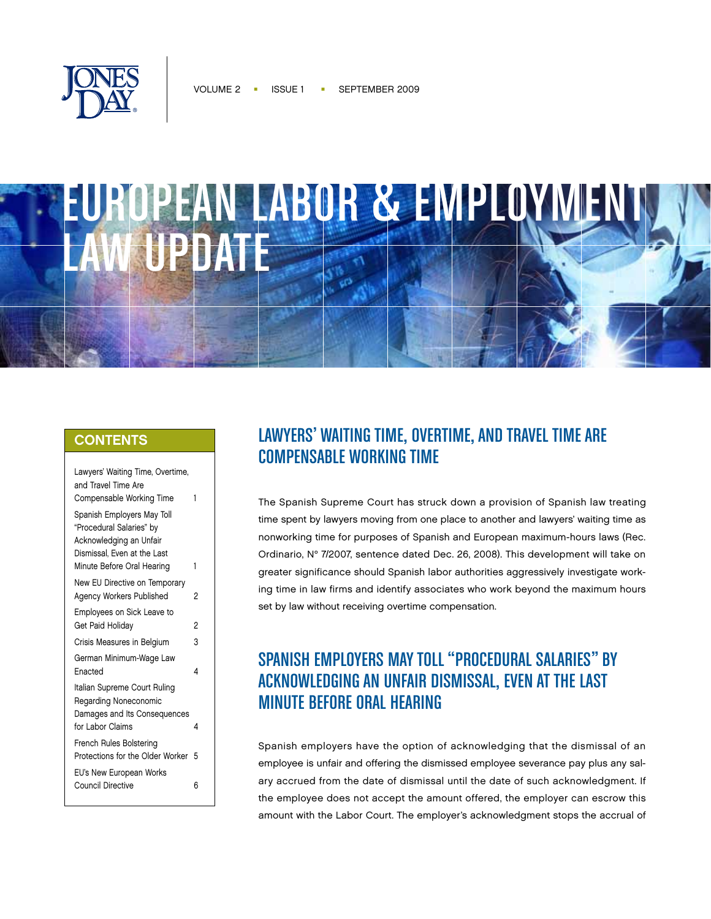



## **CONTENTS**

| Lawyers' Waiting Time, Overtime,<br>and Travel Time Are<br>Compensable Working Time                                                            | 1 |
|------------------------------------------------------------------------------------------------------------------------------------------------|---|
| Spanish Employers May Toll<br>"Procedural Salaries" by<br>Acknowledging an Unfair<br>Dismissal, Even at the Last<br>Minute Before Oral Hearing | 1 |
| New EU Directive on Temporary<br><b>Agency Workers Published</b>                                                                               | 2 |
| Employees on Sick Leave to<br>Get Paid Holiday                                                                                                 | 2 |
| Crisis Measures in Belgium                                                                                                                     | 3 |
| German Minimum-Wage Law<br>Enacted                                                                                                             | 4 |
|                                                                                                                                                |   |
| Italian Supreme Court Ruling<br>Regarding Noneconomic                                                                                          |   |
| Damages and Its Consequences<br>for Labor Claims                                                                                               | 4 |
| French Rules Bolstering<br>Protections for the Older Worker                                                                                    | 5 |
| EU's New European Works<br>Council Directive                                                                                                   | 6 |

# Lawyers' Waiting Time, Overtime, and Travel Time Are Compensable Working Time

The Spanish Supreme Court has struck down a provision of Spanish law treating time spent by lawyers moving from one place to another and lawyers' waiting time as nonworking time for purposes of Spanish and European maximum-hours laws (Rec. Ordinario, N° 7/2007, sentence dated Dec. 26, 2008). This development will take on greater significance should Spanish labor authorities aggressively investigate working time in law firms and identify associates who work beyond the maximum hours set by law without receiving overtime compensation.

# Spanish Employers May Toll "Procedural Salaries" by Acknowledging an Unfair Dismissal, Even at the Last **MINUTE BEFORE ORAL HEARING**

Spanish employers have the option of acknowledging that the dismissal of an employee is unfair and offering the dismissed employee severance pay plus any salary accrued from the date of dismissal until the date of such acknowledgment. If the employee does not accept the amount offered, the employer can escrow this amount with the Labor Court. The employer's acknowledgment stops the accrual of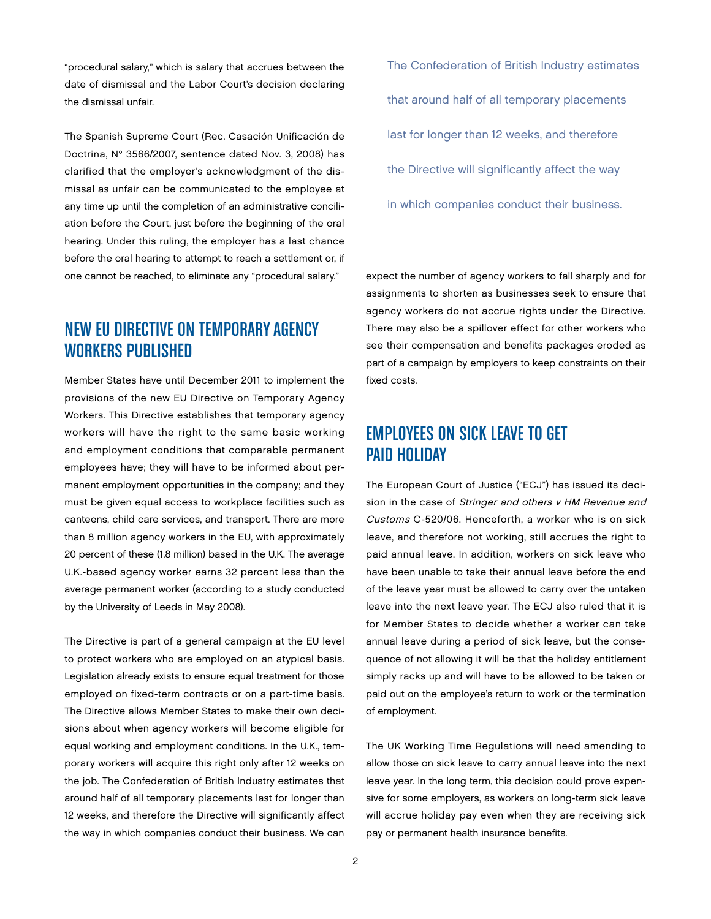"procedural salary," which is salary that accrues between the date of dismissal and the Labor Court's decision declaring the dismissal unfair.

The Spanish Supreme Court (Rec. Casación Unificación de Doctrina, N° 3566/2007, sentence dated Nov. 3, 2008) has clarified that the employer's acknowledgment of the dismissal as unfair can be communicated to the employee at any time up until the completion of an administrative conciliation before the Court, just before the beginning of the oral hearing. Under this ruling, the employer has a last chance before the oral hearing to attempt to reach a settlement or, if one cannot be reached, to eliminate any "procedural salary."

## New EU Directive on Temporary Agency Workers Published

Member States have until December 2011 to implement the provisions of the new EU Directive on Temporary Agency Workers. This Directive establishes that temporary agency workers will have the right to the same basic working and employment conditions that comparable permanent employees have; they will have to be informed about permanent employment opportunities in the company; and they must be given equal access to workplace facilities such as canteens, child care services, and transport. There are more than 8 million agency workers in the EU, with approximately 20 percent of these (1.8 million) based in the U.K. The average U.K.-based agency worker earns 32 percent less than the average permanent worker (according to a study conducted by the University of Leeds in May 2008).

The Directive is part of a general campaign at the EU level to protect workers who are employed on an atypical basis. Legislation already exists to ensure equal treatment for those employed on fixed-term contracts or on a part-time basis. The Directive allows Member States to make their own decisions about when agency workers will become eligible for equal working and employment conditions. In the U.K., temporary workers will acquire this right only after 12 weeks on the job. The Confederation of British Industry estimates that around half of all temporary placements last for longer than 12 weeks, and therefore the Directive will significantly affect the way in which companies conduct their business. We can

The Confederation of British Industry estimates that around half of all temporary placements last for longer than 12 weeks, and therefore the Directive will significantly affect the way in which companies conduct their business.

expect the number of agency workers to fall sharply and for assignments to shorten as businesses seek to ensure that agency workers do not accrue rights under the Directive. There may also be a spillover effect for other workers who see their compensation and benefits packages eroded as part of a campaign by employers to keep constraints on their fixed costs.

## Employees on Sick Leave to Get Paid Holiday

The European Court of Justice ("ECJ") has issued its decision in the case of Stringer and others v HM Revenue and Customs C-520/06. Henceforth, a worker who is on sick leave, and therefore not working, still accrues the right to paid annual leave. In addition, workers on sick leave who have been unable to take their annual leave before the end of the leave year must be allowed to carry over the untaken leave into the next leave year. The ECJ also ruled that it is for Member States to decide whether a worker can take annual leave during a period of sick leave, but the consequence of not allowing it will be that the holiday entitlement simply racks up and will have to be allowed to be taken or paid out on the employee's return to work or the termination of employment.

The UK Working Time Regulations will need amending to allow those on sick leave to carry annual leave into the next leave year. In the long term, this decision could prove expensive for some employers, as workers on long-term sick leave will accrue holiday pay even when they are receiving sick pay or permanent health insurance benefits.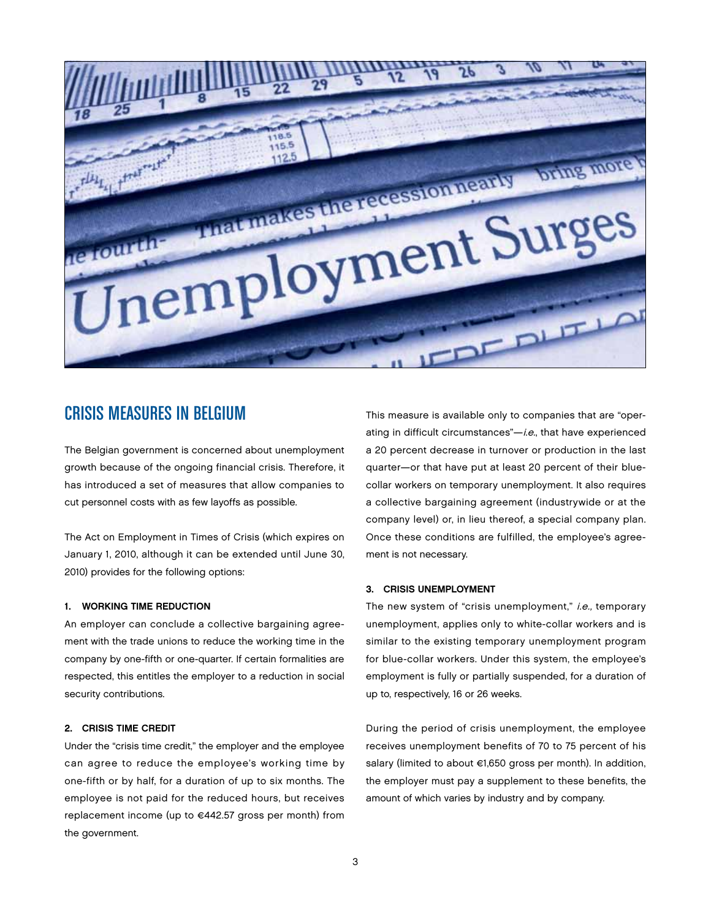

## Crisis Measures in Belgium

The Belgian government is concerned about unemployment growth because of the ongoing financial crisis. Therefore, it has introduced a set of measures that allow companies to cut personnel costs with as few layoffs as possible.

The Act on Employment in Times of Crisis (which expires on January 1, 2010, although it can be extended until June 30, 2010) provides for the following options:

### 1. WORKING TIME REDUCTION

An employer can conclude a collective bargaining agreement with the trade unions to reduce the working time in the company by one-fifth or one-quarter. If certain formalities are respected, this entitles the employer to a reduction in social security contributions.

### 2. CRISIS TIME CREDIT

Under the "crisis time credit," the employer and the employee can agree to reduce the employee's working time by one-fifth or by half, for a duration of up to six months. The employee is not paid for the reduced hours, but receives replacement income (up to €442.57 gross per month) from the government.

This measure is available only to companies that are "operating in difficult circumstances"-i.e., that have experienced a 20 percent decrease in turnover or production in the last quarter—or that have put at least 20 percent of their bluecollar workers on temporary unemployment. It also requires a collective bargaining agreement (industrywide or at the company level) or, in lieu thereof, a special company plan. Once these conditions are fulfilled, the employee's agreement is not necessary.

### 3. CRISIS UNEMPLOYMENT

The new system of "crisis unemployment," i.e., temporary unemployment, applies only to white-collar workers and is similar to the existing temporary unemployment program for blue-collar workers. Under this system, the employee's employment is fully or partially suspended, for a duration of up to, respectively, 16 or 26 weeks.

During the period of crisis unemployment, the employee receives unemployment benefits of 70 to 75 percent of his salary (limited to about €1,650 gross per month). In addition, the employer must pay a supplement to these benefits, the amount of which varies by industry and by company.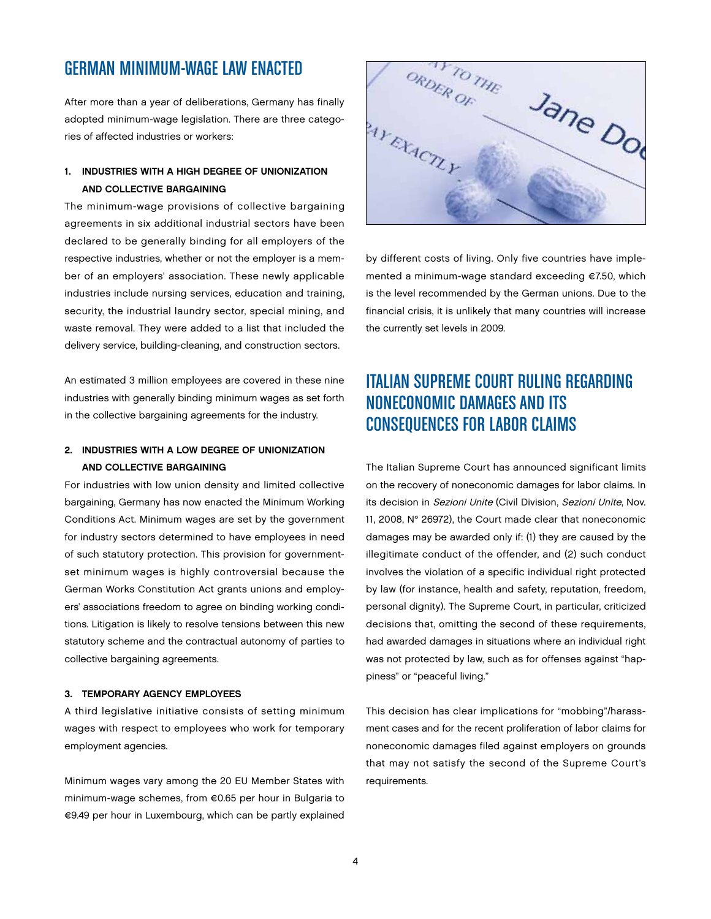## German Minimum-Wage Law Enacted

After more than a year of deliberations, Germany has finally adopted minimum-wage legislation. There are three categories of affected industries or workers:

## 1. INDUSTRIES WITH A HIGH DEGREE OF UNIONIZATION and Collective Bargaining

The minimum-wage provisions of collective bargaining agreements in six additional industrial sectors have been declared to be generally binding for all employers of the respective industries, whether or not the employer is a member of an employers' association. These newly applicable industries include nursing services, education and training, security, the industrial laundry sector, special mining, and waste removal. They were added to a list that included the delivery service, building-cleaning, and construction sectors.

An estimated 3 million employees are covered in these nine industries with generally binding minimum wages as set forth in the collective bargaining agreements for the industry.

## 2. INDUSTRIES WITH A LOW DEGREE OF UNIONIZATION and Collective Bargaining

For industries with low union density and limited collective bargaining, Germany has now enacted the Minimum Working Conditions Act. Minimum wages are set by the government for industry sectors determined to have employees in need of such statutory protection. This provision for governmentset minimum wages is highly controversial because the German Works Constitution Act grants unions and employers' associations freedom to agree on binding working conditions. Litigation is likely to resolve tensions between this new statutory scheme and the contractual autonomy of parties to collective bargaining agreements.

### 3. TEMPORARY AGENCY EMPLOYEES

A third legislative initiative consists of setting minimum wages with respect to employees who work for temporary employment agencies.

Minimum wages vary among the 20 EU Member States with minimum-wage schemes, from €0.65 per hour in Bulgaria to €9.49 per hour in Luxembourg, which can be partly explained



by different costs of living. Only five countries have implemented a minimum-wage standard exceeding €7.50, which is the level recommended by the German unions. Due to the financial crisis, it is unlikely that many countries will increase the currently set levels in 2009.

# Italian Supreme Court Ruling Regarding Noneconomic Damages and Its Consequences for Labor Claims

The Italian Supreme Court has announced significant limits on the recovery of noneconomic damages for labor claims. In its decision in Sezioni Unite (Civil Division, Sezioni Unite, Nov. 11, 2008, N° 26972), the Court made clear that noneconomic damages may be awarded only if: (1) they are caused by the illegitimate conduct of the offender, and (2) such conduct involves the violation of a specific individual right protected by law (for instance, health and safety, reputation, freedom, personal dignity). The Supreme Court, in particular, criticized decisions that, omitting the second of these requirements, had awarded damages in situations where an individual right was not protected by law, such as for offenses against "happiness" or "peaceful living."

This decision has clear implications for "mobbing"/harassment cases and for the recent proliferation of labor claims for noneconomic damages filed against employers on grounds that may not satisfy the second of the Supreme Court's requirements.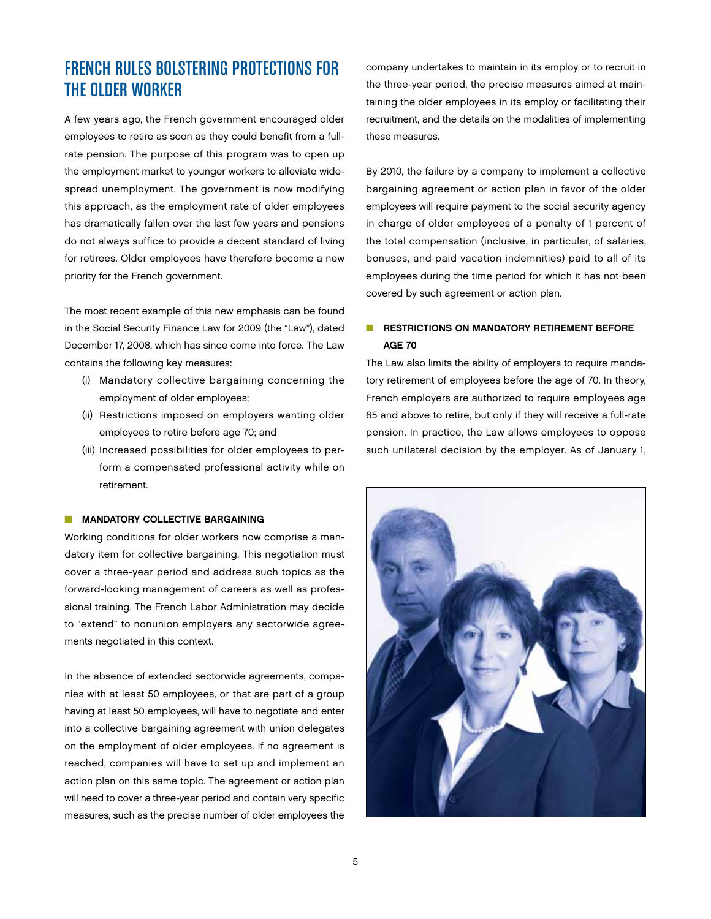# French Rules Bolstering Protections for the Older Worker

A few years ago, the French government encouraged older employees to retire as soon as they could benefit from a fullrate pension. The purpose of this program was to open up the employment market to younger workers to alleviate widespread unemployment. The government is now modifying this approach, as the employment rate of older employees has dramatically fallen over the last few years and pensions do not always suffice to provide a decent standard of living for retirees. Older employees have therefore become a new priority for the French government.

The most recent example of this new emphasis can be found in the Social Security Finance Law for 2009 (the "Law"), dated December 17, 2008, which has since come into force. The Law contains the following key measures:

- (i) Mandatory collective bargaining concerning the employment of older employees;
- (ii) Restrictions imposed on employers wanting older employees to retire before age 70; and
- (iii) Increased possibilities for older employees to perform a compensated professional activity while on retirement.

### $\blacksquare$  MANDATORY COLLECTIVE BARGAINING

Working conditions for older workers now comprise a mandatory item for collective bargaining. This negotiation must cover a three-year period and address such topics as the forward-looking management of careers as well as professional training. The French Labor Administration may decide to "extend" to nonunion employers any sectorwide agreements negotiated in this context.

In the absence of extended sectorwide agreements, companies with at least 50 employees, or that are part of a group having at least 50 employees, will have to negotiate and enter into a collective bargaining agreement with union delegates on the employment of older employees. If no agreement is reached, companies will have to set up and implement an action plan on this same topic. The agreement or action plan will need to cover a three-year period and contain very specific measures, such as the precise number of older employees the company undertakes to maintain in its employ or to recruit in the three-year period, the precise measures aimed at maintaining the older employees in its employ or facilitating their recruitment, and the details on the modalities of implementing these measures.

By 2010, the failure by a company to implement a collective bargaining agreement or action plan in favor of the older employees will require payment to the social security agency in charge of older employees of a penalty of 1 percent of the total compensation (inclusive, in particular, of salaries, bonuses, and paid vacation indemnities) paid to all of its employees during the time period for which it has not been covered by such agreement or action plan.

## **NUMBER IN RESTRICTIONS ON MANDATORY RETIREMENT BEFORE** Age 70

The Law also limits the ability of employers to require mandatory retirement of employees before the age of 70. In theory, French employers are authorized to require employees age 65 and above to retire, but only if they will receive a full-rate pension. In practice, the Law allows employees to oppose such unilateral decision by the employer. As of January 1,

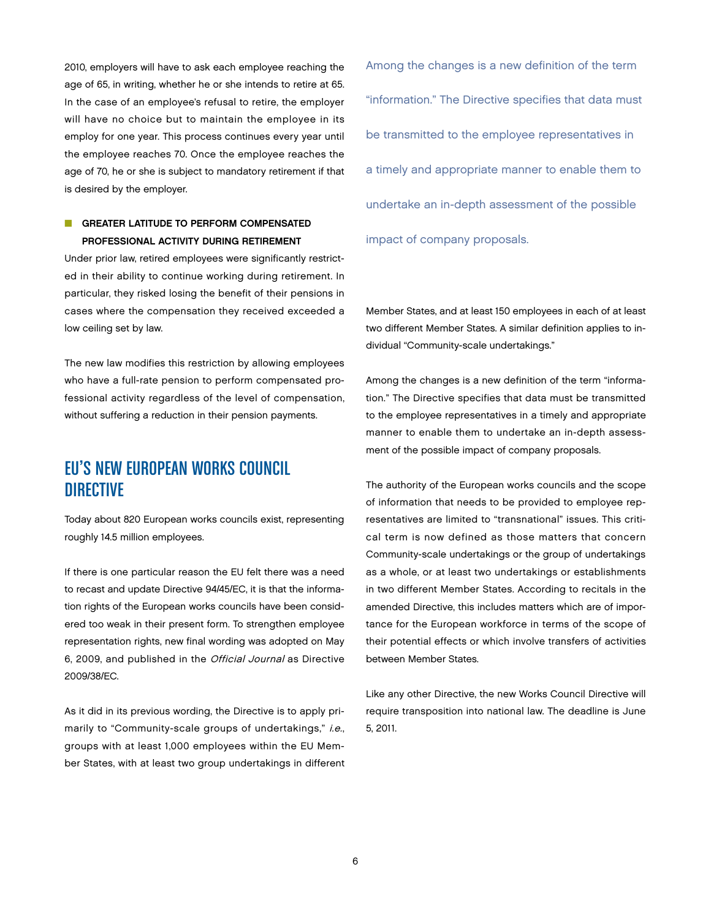2010, employers will have to ask each employee reaching the age of 65, in writing, whether he or she intends to retire at 65. In the case of an employee's refusal to retire, the employer will have no choice but to maintain the employee in its employ for one year. This process continues every year until the employee reaches 70. Once the employee reaches the age of 70, he or she is subject to mandatory retirement if that is desired by the employer.

## **n** GREATER LATITUDE TO PERFORM COMPENSATED Professional Activity During Retirement

Under prior law, retired employees were significantly restricted in their ability to continue working during retirement. In particular, they risked losing the benefit of their pensions in cases where the compensation they received exceeded a low ceiling set by law.

The new law modifies this restriction by allowing employees who have a full-rate pension to perform compensated professional activity regardless of the level of compensation, without suffering a reduction in their pension payments.

## EU's New European Works Council **DIRECTIVE**

Today about 820 European works councils exist, representing roughly 14.5 million employees.

If there is one particular reason the EU felt there was a need to recast and update Directive 94/45/EC, it is that the information rights of the European works councils have been considered too weak in their present form. To strengthen employee representation rights, new final wording was adopted on May 6, 2009, and published in the Official Journal as Directive 2009/38/EC.

As it did in its previous wording, the Directive is to apply primarily to "Community-scale groups of undertakings," i.e., groups with at least 1,000 employees within the EU Member States, with at least two group undertakings in different Among the changes is a new definition of the term "information." The Directive specifies that data must be transmitted to the employee representatives in a timely and appropriate manner to enable them to undertake an in-depth assessment of the possible impact of company proposals.

Member States, and at least 150 employees in each of at least two different Member States. A similar definition applies to individual "Community-scale undertakings."

Among the changes is a new definition of the term "information." The Directive specifies that data must be transmitted to the employee representatives in a timely and appropriate manner to enable them to undertake an in-depth assessment of the possible impact of company proposals.

The authority of the European works councils and the scope of information that needs to be provided to employee representatives are limited to "transnational" issues. This critical term is now defined as those matters that concern Community-scale undertakings or the group of undertakings as a whole, or at least two undertakings or establishments in two different Member States. According to recitals in the amended Directive, this includes matters which are of importance for the European workforce in terms of the scope of their potential effects or which involve transfers of activities between Member States.

Like any other Directive, the new Works Council Directive will require transposition into national law. The deadline is June 5, 2011.